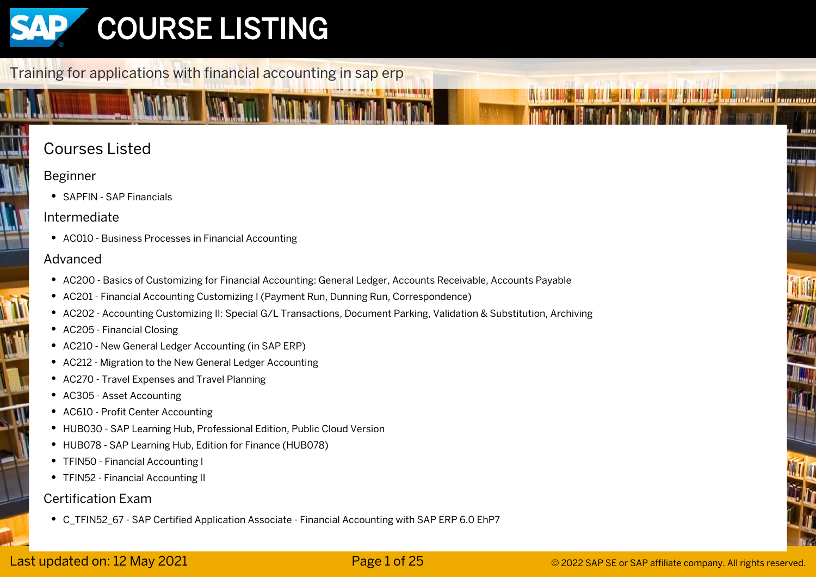

# Training for applications with financial accounting in sap erp

# Courses Listed

# Beginner

• SAPFIN - SAP Financials

# Intermediate

AC010 - Business Processes in Financial Accounting

### Advanced

- AC200 Basics of Customizing for Financial Accounting: General Ledger, Accounts Receivable, Accounts Payable
- AC201 Financial Accounting Customizing I (Payment Run, Dunning Run, Correspondence)
- AC202 Accounting Customizing II: Special G/L Transactions, Document Parking, Validation & Substitution, Archiving
- AC205 Financial Closing
- AC210 New General Ledger Accounting (in SAP ERP)
- AC212 Migration to the New General Ledger Accounting
- AC270 Travel Expenses and Travel Planning
- AC305 Asset Accounting
- AC610 Profit Center Accounting
- HUB030 SAP Learning Hub, Professional Edition, Public Cloud Version
- HUB078 SAP Learning Hub, Edition for Finance (HUB078)
- TFIN50 Financial Accounting I
- TFIN52 Financial Accounting II

### Certification Exam

C\_TFIN52\_67 - SAP Certified Application Associate - Financial Accounting with SAP ERP 6.0 EhP7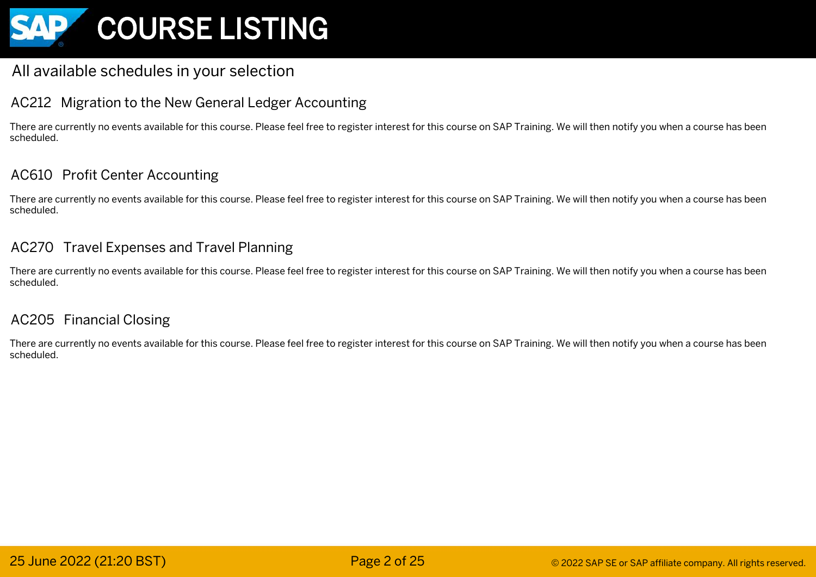

# All available schedules in your selection

# AC212 Migration to the New General Ledger Accounting

There are currently no events available for this course. Please feel free to register interest for this course on SAP Training. We will then notify you when a course has been scheduled.

# AC610 Profit Center Accounting

There are currently no events available for this course. Please feel free to register interest for this course on SAP Training. We will then notify you when a course has been scheduled.

# AC270 Travel Expenses and Travel Planning

There are currently no events available for this course. Please feel free to register interest for this course on SAP Training. We will then notify you when a course has been scheduled.

# AC205 Financial Closing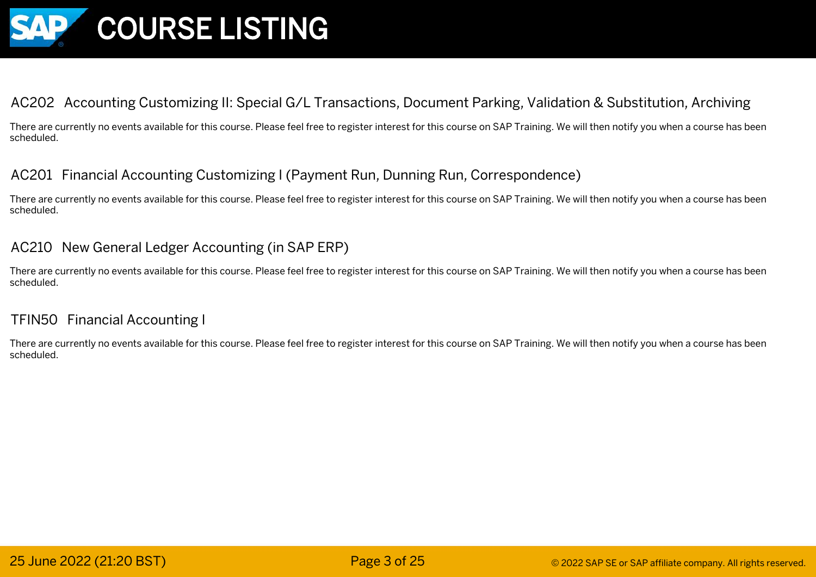

# AC202 Accounting Customizing II: Special G/L Transactions, Document Parking, Validation & Substitution, Archiving

There are currently no events available for this course. Please feel free to register interest for this course on SAP Training. We will then notify you when a course has been scheduled.

# AC201 Financial Accounting Customizing I (Payment Run, Dunning Run, Correspondence)

There are currently no events available for this course. Please feel free to register interest for this course on SAP Training. We will then notify you when a course has been scheduled.

# AC210 New General Ledger Accounting (in SAP ERP)

There are currently no events available for this course. Please feel free to register interest for this course on SAP Training. We will then notify you when a course has been scheduled.

### TFIN50 Financial Accounting I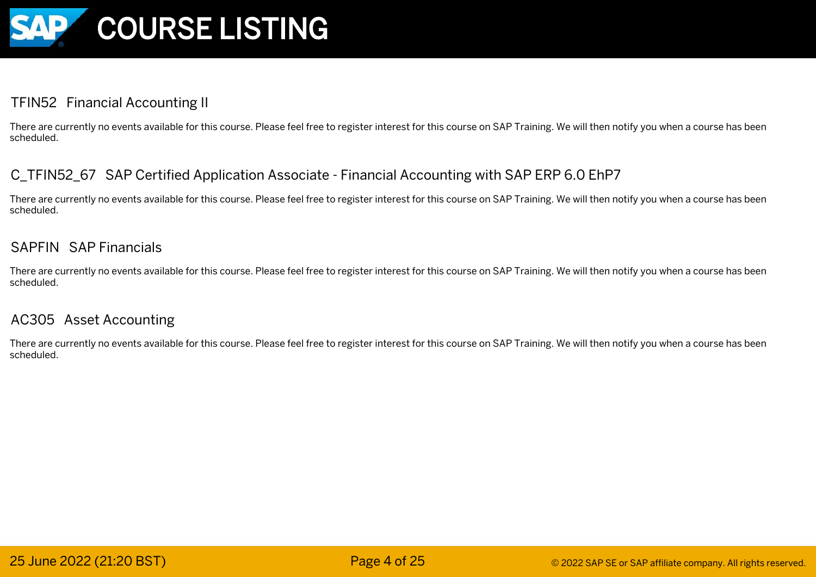

# TFIN52 Financial Accounting II

There are currently no events available for this course. Please feel free to register interest for this course on SAP Training. We will then notify you when a course has been scheduled.

# C\_TFIN52\_67 SAP Certified Application Associate - Financial Accounting with SAP ERP 6.0 EhP7

There are currently no events available for this course. Please feel free to register interest for this course on SAP Training. We will then notify you when a course has been scheduled.

### SAPFIN SAP Financials

There are currently no events available for this course. Please feel free to register interest for this course on SAP Training. We will then notify you when a course has been scheduled.

### AC305 Asset Accounting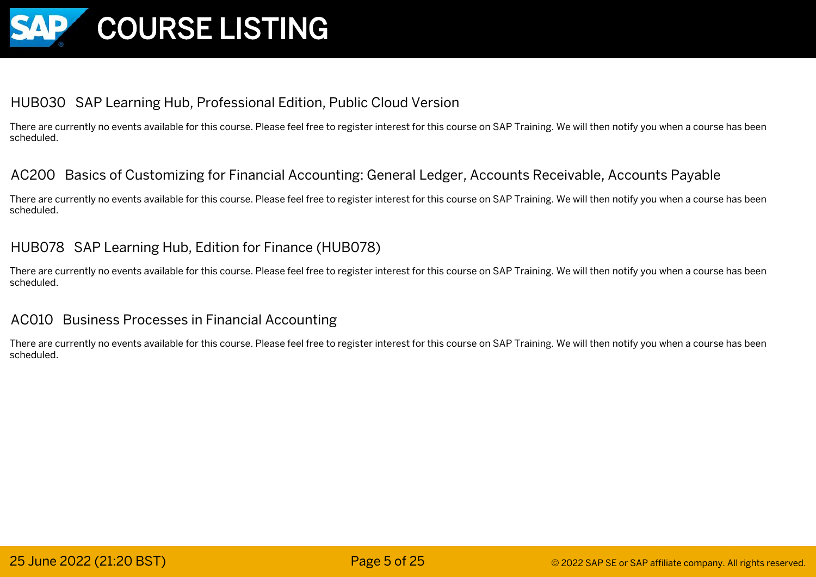

# HUB030 SAP Learning Hub, Professional Edition, Public Cloud Version

There are currently no events available for this course. Please feel free to register interest for this course on SAP Training. We will then notify you when a course has been scheduled.

### AC200 Basics of Customizing for Financial Accounting: General Ledger, Accounts Receivable, Accounts Payable

There are currently no events available for this course. Please feel free to register interest for this course on SAP Training. We will then notify you when a course has been scheduled.

### HUB078 SAP Learning Hub, Edition for Finance (HUB078)

There are currently no events available for this course. Please feel free to register interest for this course on SAP Training. We will then notify you when a course has been scheduled.

### AC010 Business Processes in Financial Accounting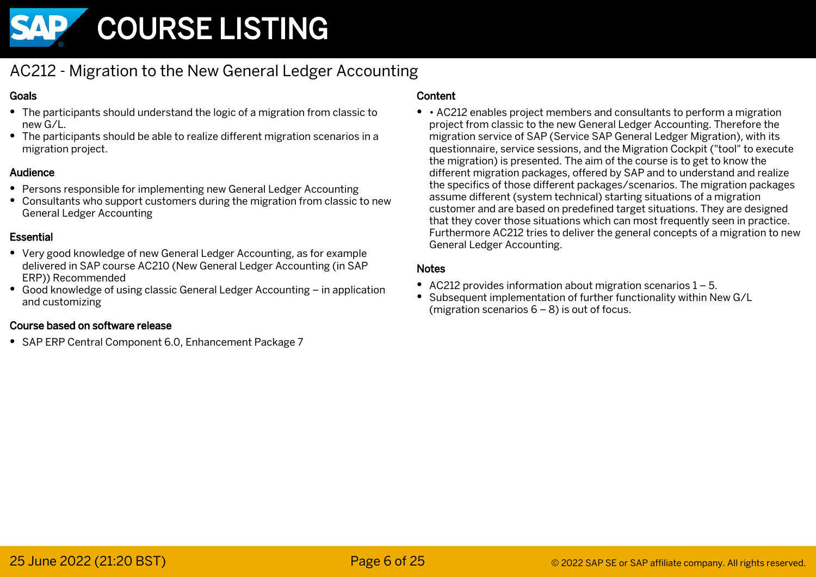

# AC212 - Migration to the New General Ledger Accounting

#### Goals

- The participants should understand the logic of a migration from classic to new G/L.
- The participants should be able to realize different migration scenarios in a migration project.

#### Audience

- Persons responsible for implementing new General Ledger Accounting
- Consultants who support customers during the migration from classic to new General Ledger Accounting

#### **Essential**

- Very good knowledge of new General Ledger Accounting, as for example delivered in SAP course AC210 (New General Ledger Accounting (in SAP ERP)) Recommended
- Good knowledge of using classic General Ledger Accounting in application and customizing

#### Course based on software release

SAP ERP Central Component 6.0, Enhancement Package 7

#### Content

• AC212 enables project members and consultants to perform a migration project from classic to the new General Ledger Accounting. Therefore the migration service of SAP (Service SAP General Ledger Migration), with its questionnaire, service sessions, and the Migration Cockpit ("tool" to execute the migration) is presented. The aim of the course is to get to know the different migration packages, offered by SAP and to understand and realize the specifics of those different packages/scenarios. The migration packages assume different (system technical) starting situations of a migration customer and are based on predefined target situations. They are designed that they cover those situations which can most frequently seen in practice. Furthermore AC212 tries to deliver the general concepts of a migration to new General Ledger Accounting.

- AC212 provides information about migration scenarios 1 5.
- Subsequent implementation of further functionality within New G/L (migration scenarios 6 – 8) is out of focus.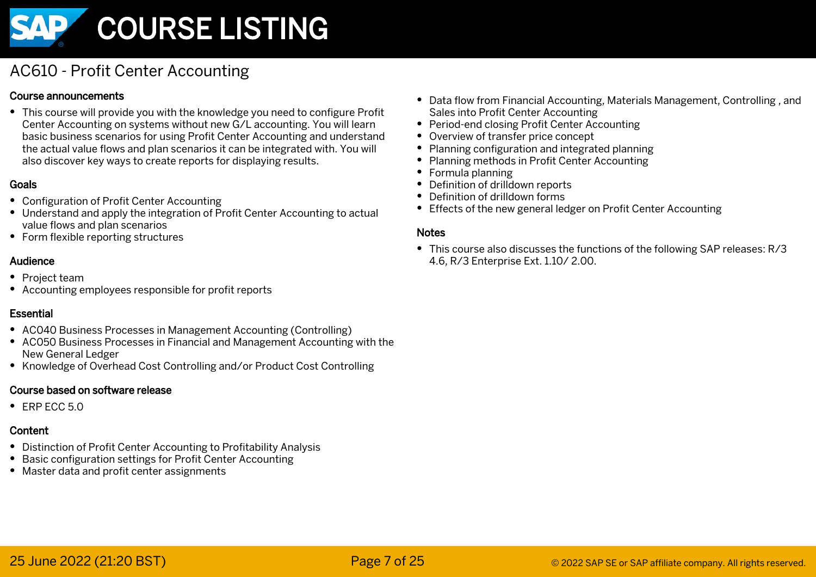

# AC610 - Profit Center Accounting

#### Course announcements

This course will provide you with the knowledge you need to configure Profit Center Accounting on systems without new G/L accounting. You will learn basic business scenarios for using Profit Center Accounting and understand the actual value flows and plan scenarios it can be integrated with. You will also discover key ways to create reports for displaying results.

#### Goals

- Configuration of Profit Center Accounting
- Understand and apply the integration of Profit Center Accounting to actual value flows and plan scenarios
- Form flexible reporting structures

#### Audience

- Project team
- Accounting employees responsible for profit reports

#### **Essential**

- AC040 Business Processes in Management Accounting (Controlling)
- AC050 Business Processes in Financial and Management Accounting with the New General Ledger
- Knowledge of Overhead Cost Controlling and/or Product Cost Controlling

#### Course based on software release

 $\cdot$  FRP FCC 5.0

### Content

- Distinction of Profit Center Accounting to Profitability Analysis
- Basic configuration settings for Profit Center Accounting
- Master data and profit center assignments
- Data flow from Financial Accounting, Materials Management, Controlling , and Sales into Profit Center Accounting
- Period-end closing Profit Center Accounting
- Overview of transfer price concept
- Planning configuration and integrated planning
- Planning methods in Profit Center Accounting
- Formula planning
- Definition of drilldown reports
- Definition of drilldown forms
- Effects of the new general ledger on Profit Center Accounting

#### **Notes**

This course also discusses the functions of the following SAP releases: R/3 4.6, R/3 Enterprise Ext. 1.10/ 2.00.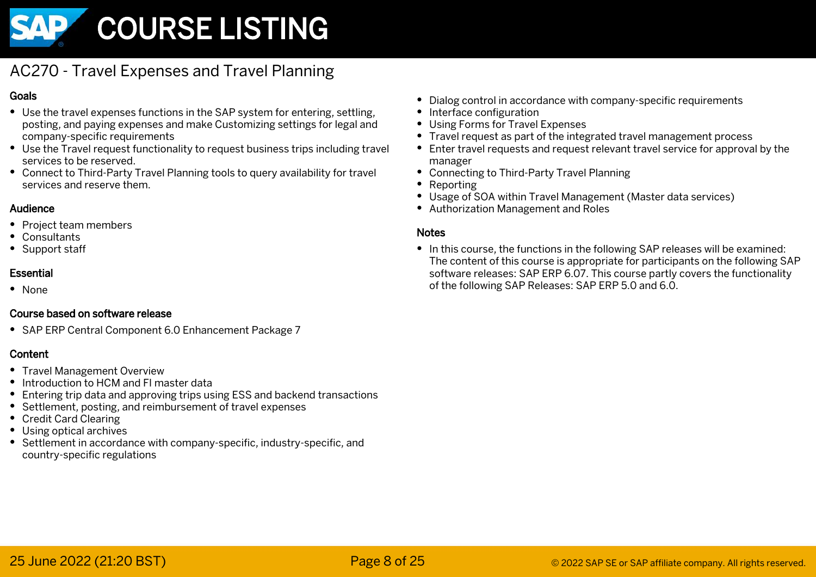

# AC270 - Travel Expenses and Travel Planning

#### Goals

- Use the travel expenses functions in the SAP system for entering, settling, posting, and paying expenses and make Customizing settings for legal and company-specific requirements
- Use the Travel request functionality to request business trips including travel services to be reserved.
- Connect to Third-Party Travel Planning tools to query availability for travel services and reserve them.

#### Audience

- Project team members
- Consultants
- Support staff

#### Essential

• None

#### Course based on software release

• SAP ERP Central Component 6.0 Enhancement Package 7

### Content

- Travel Management Overview
- Introduction to HCM and FI master data
- Entering trip data and approving trips using ESS and backend transactions
- Settlement, posting, and reimbursement of travel expenses
- Credit Card Clearing
- Using optical archives
- Settlement in accordance with company-specific, industry-specific, and country-specific regulations
- Dialog control in accordance with company-specific requirements
- Interface configuration
- Using Forms for Travel Expenses
- Travel request as part of the integrated travel management process
- Enter travel requests and request relevant travel service for approval by the manager
- Connecting to Third-Party Travel Planning
- Reporting
- Usage of SOA within Travel Management (Master data services)
- Authorization Management and Roles

#### **Notes**

• In this course, the functions in the following SAP releases will be examined: The content of this course is appropriate for participants on the following SAP software releases: SAP ERP 6.07. This course partly covers the functionality of the following SAP Releases: SAP ERP 5.0 and 6.0.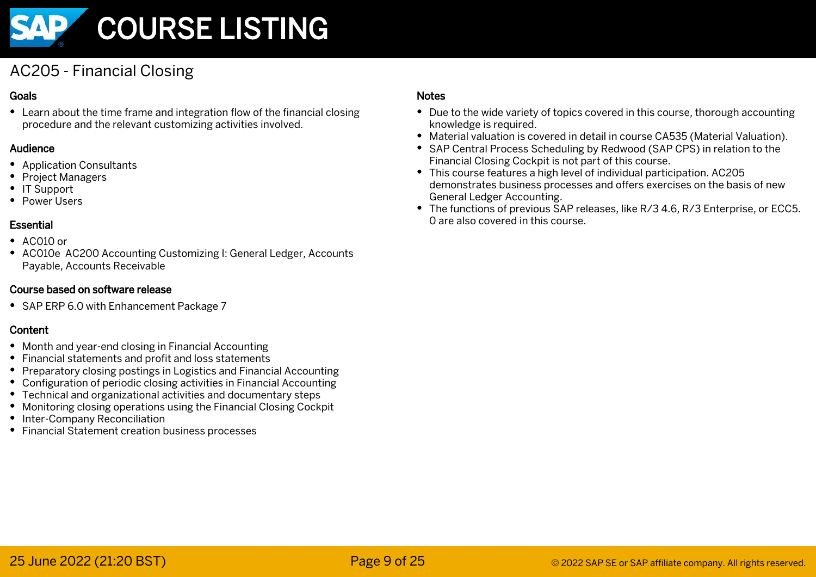

# AC205 - Financial Closing

#### Goals

Learn about the time frame and integration flow of the financial closing procedure and the relevant customizing activities involved.

#### Audience

- Application Consultants
- Project Managers
- IT Support
- Power I Isers

### Essential

- $\bullet$  AC010 or
- AC010e AC200 Accounting Customizing I: General Ledger, Accounts Payable, Accounts Receivable

#### Course based on software release

• SAP ERP 6.0 with Enhancement Package 7

### Content

- Month and year-end closing in Financial Accounting
- Financial statements and profit and loss statements
- Preparatory closing postings in Logistics and Financial Accounting
- Configuration of periodic closing activities in Financial Accounting
- Technical and organizational activities and documentary steps
- Monitoring closing operations using the Financial Closing Cockpit
- Inter-Company Reconciliation
- Financial Statement creation business processes

- Due to the wide variety of topics covered in this course, thorough accounting knowledge is required.
- Material valuation is covered in detail in course CA535 (Material Valuation).
- SAP Central Process Scheduling by Redwood (SAP CPS) in relation to the Financial Closing Cockpit is not part of this course.
- This course features a high level of individual participation. AC205 demonstrates business processes and offers exercises on the basis of new General Ledger Accounting.
- The functions of previous SAP releases, like R/3 4.6, R/3 Enterprise, or ECC5. 0 are also covered in this course.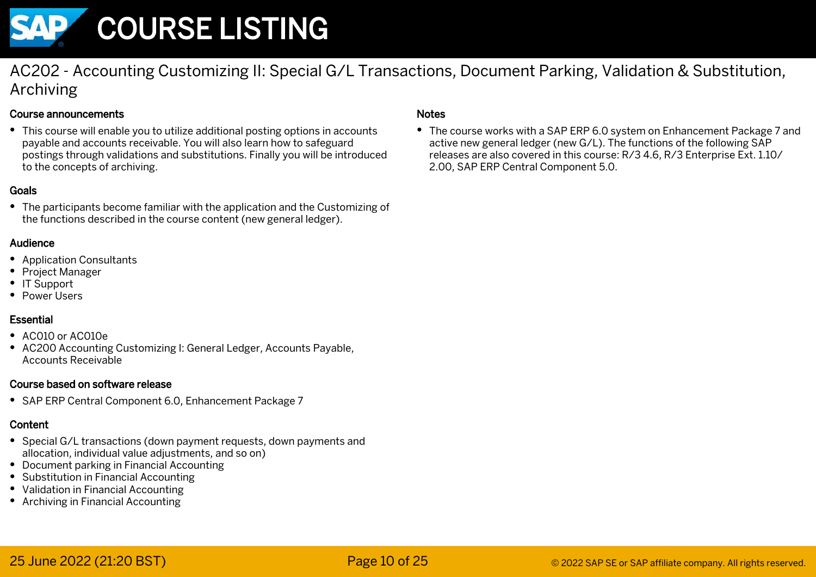

AC202 - Accounting Customizing II: Special G/L Transactions, Document Parking, Validation & Substitution, Archiving

#### Course announcements

This course will enable you to utilize additional posting options in accounts payable and accounts receivable. You will also learn how to safeguard postings through validations and substitutions. Finally you will be introduced to the concepts of archiving.

#### Goals

The participants become familiar with the application and the Customizing of the functions described in the course content (new general ledger).

#### Audience

- Application Consultants
- Project Manager
- IT Support
- Power Users

#### Essential

- AC010 or AC010e
- AC200 Accounting Customizing I: General Ledger, Accounts Payable, Accounts Receivable

#### Course based on software release

SAP ERP Central Component 6.0, Enhancement Package 7

#### Content

- Special G/L transactions (down payment requests, down payments and allocation, individual value adjustments, and so on)
- Document parking in Financial Accounting
- Substitution in Financial Accounting
- Validation in Financial Accounting
- Archiving in Financial Accounting

#### Notes

• The course works with a SAP ERP 6.0 system on Enhancement Package 7 and active new general ledger (new G/L). The functions of the following SAP releases are also covered in this course: R/3 4.6, R/3 Enterprise Ext. 1.10/ 2.00, SAP ERP Central Component 5.0.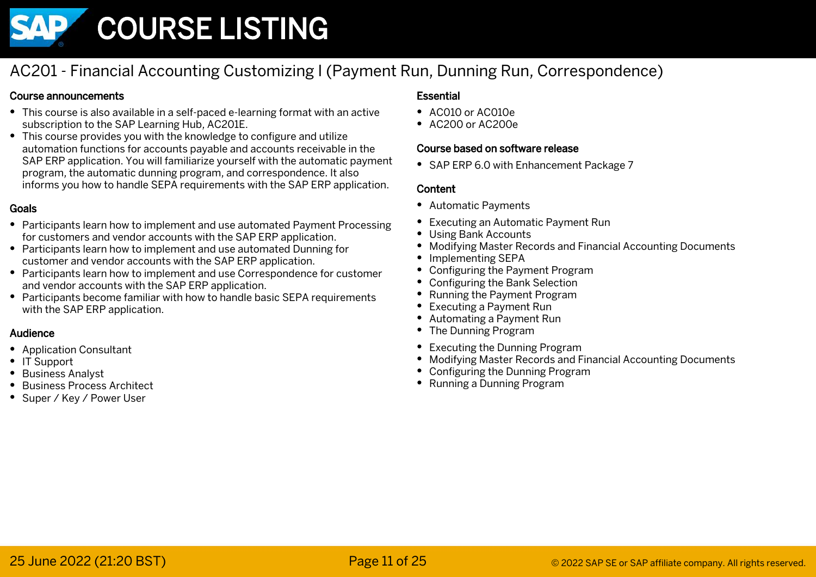

# AC201 - Financial Accounting Customizing I (Payment Run, Dunning Run, Correspondence)

#### Course announcements

- This course is also available in a self-paced e-learning format with an active subscription to the SAP Learning Hub, AC201E.
- This course provides you with the knowledge to configure and utilize automation functions for accounts payable and accounts receivable in the SAP ERP application. You will familiarize yourself with the automatic payment program, the automatic dunning program, and correspondence. It also informs you how to handle SEPA requirements with the SAP ERP application.

#### Goals

- Participants learn how to implement and use automated Payment Processing for customers and vendor accounts with the SAP ERP application.
- Participants learn how to implement and use automated Dunning for customer and vendor accounts with the SAP ERP application.
- Participants learn how to implement and use Correspondence for customer and vendor accounts with the SAP ERP application.
- Participants become familiar with how to handle basic SEPA requirements with the SAP ERP application.

#### Audience

- Application Consultant
- IT Support
- Business Analyst
- Business Process Architect
- Super / Key / Power User

#### Essential

- AC010 or AC010e
- $\bullet$  AC200 or AC200e

#### Course based on software release

• SAP ERP 6.0 with Enhancement Package 7

- Automatic Payments
- Executing an Automatic Payment Run ٠
- Using Bank Accounts
- Modifying Master Records and Financial Accounting Documents
- Implementing SEPA
- Configuring the Payment Program
- Configuring the Bank Selection
- Running the Payment Program
- Executing a Payment Run
- Automating a Payment Run
- The Dunning Program
- Executing the Dunning Program
- Modifying Master Records and Financial Accounting Documents
- Configuring the Dunning Program
- Running a Dunning Program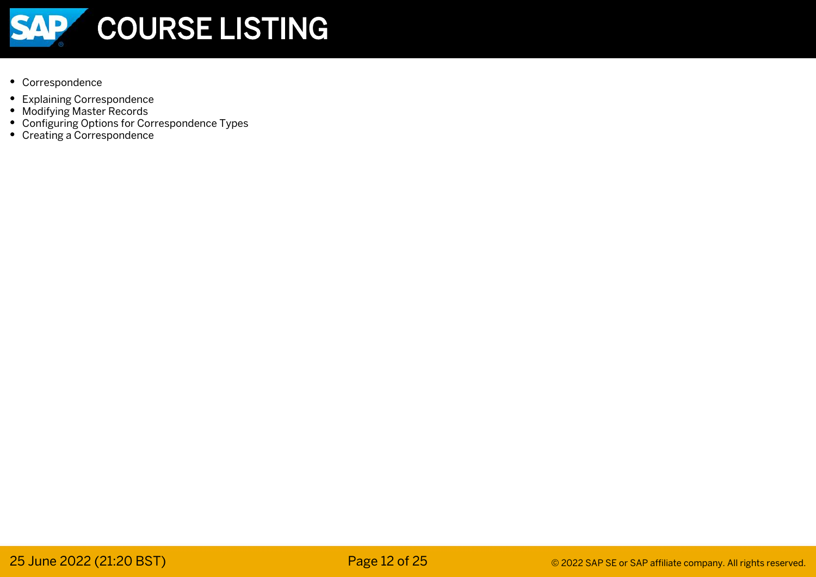

- Correspondence
- Explaining Correspondence
- Modifying Master Records
- Configuring Options for Correspondence Types
- Creating a Correspondence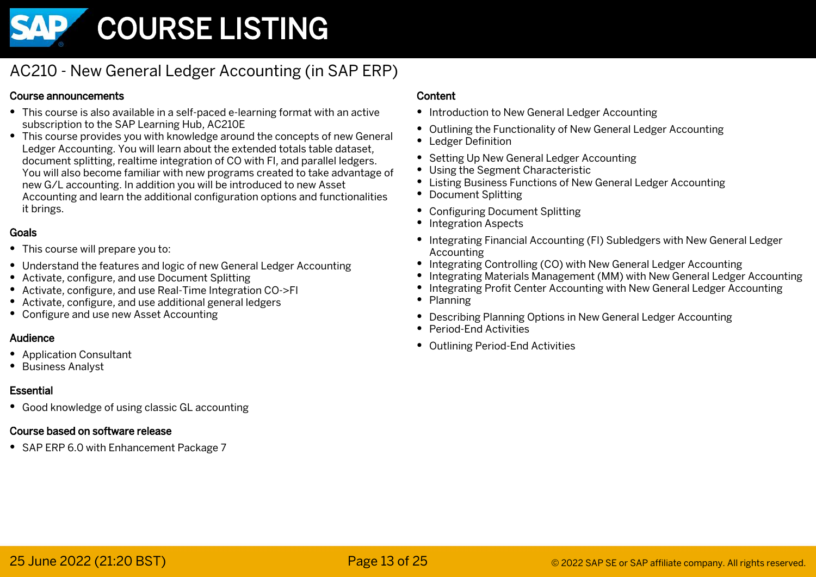

# AC210 - New General Ledger Accounting (in SAP ERP)

#### Course announcements

- This course is also available in a self-paced e-learning format with an active subscription to the SAP Learning Hub, AC210E
- This course provides you with knowledge around the concepts of new General Ledger Accounting. You will learn about the extended totals table dataset, document splitting, realtime integration of CO with FI, and parallel ledgers. You will also become familiar with new programs created to take advantage of new G/L accounting. In addition you will be introduced to new Asset Accounting and learn the additional configuration options and functionalities it brings.

#### Goals

- This course will prepare you to:
- Understand the features and logic of new General Ledger Accounting
- Activate, configure, and use Document Splitting
- Activate, configure, and use Real-Time Integration CO->FI
- Activate, configure, and use additional general ledgers
- Configure and use new Asset Accounting

#### Audience

- Application Consultant
- Business Analyst

#### Essential

Good knowledge of using classic GL accounting

#### Course based on software release

• SAP ERP 6.0 with Enhancement Package 7

- Introduction to New General Ledger Accounting
- Outlining the Functionality of New General Ledger Accounting
- Ledger Definition
- Setting Up New General Ledger Accounting
- Using the Segment Characteristic
- Listing Business Functions of New General Ledger Accounting
- Document Splitting
- Configuring Document Splitting
- Integration Aspects
- Integrating Financial Accounting (FI) Subledgers with New General Ledger Accounting
- Integrating Controlling (CO) with New General Ledger Accounting
- Integrating Materials Management (MM) with New General Ledger Accounting
- Integrating Profit Center Accounting with New General Ledger Accounting
- Planning
- Describing Planning Options in New General Ledger Accounting
- Period-End Activities
- Outlining Period-End Activities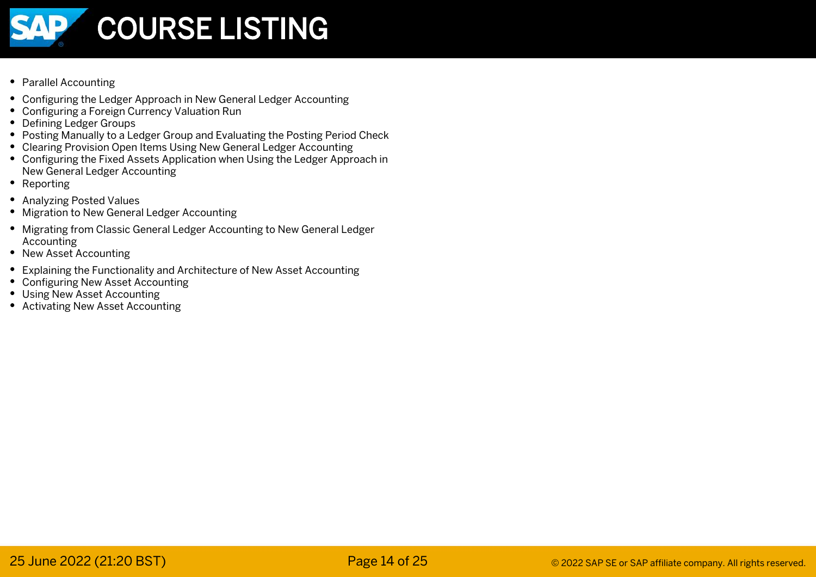

- Parallel Accounting
- Configuring the Ledger Approach in New General Ledger Accounting
- Configuring a Foreign Currency Valuation Run
- Defining Ledger Groups
- Posting Manually to a Ledger Group and Evaluating the Posting Period Check
- Clearing Provision Open Items Using New General Ledger Accounting
- Configuring the Fixed Assets Application when Using the Ledger Approach in New General Ledger Accounting
- Reporting
- Analyzing Posted Values
- Migration to New General Ledger Accounting
- Migrating from Classic General Ledger Accounting to New General Ledger Accounting
- New Asset Accounting
- Explaining the Functionality and Architecture of New Asset Accounting
- Configuring New Asset Accounting
- Using New Asset Accounting
- Activating New Asset Accounting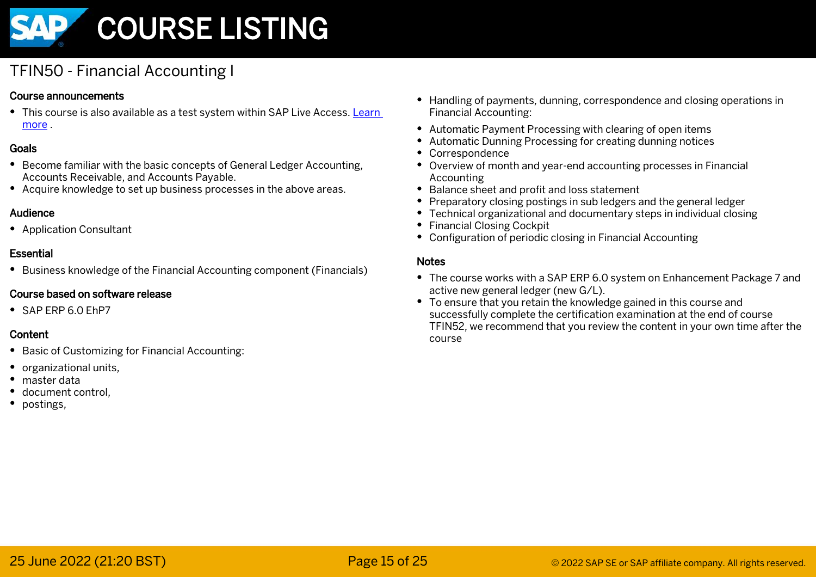

# TFIN50 - Financial Accounting I

#### Course announcements

This course is also available as a test system within SAP Live Access. [Learn](https://training.sap.com/live-access)  [more](https://training.sap.com/live-access) .

#### Goals

- Become familiar with the basic concepts of General Ledger Accounting, Accounts Receivable, and Accounts Payable.
- Acquire knowledge to set up business processes in the above areas.

#### Audience

Application Consultant

#### Essential

Business knowledge of the Financial Accounting component (Financials)

#### Course based on software release

 $\bullet$  SAP FRP 6.0 FhP7

#### Content

- Basic of Customizing for Financial Accounting:
- organizational units.
- master data
- document control.
- postings.
- Handling of payments, dunning, correspondence and closing operations in Financial Accounting:
- Automatic Payment Processing with clearing of open items
- Automatic Dunning Processing for creating dunning notices
- Correspondence
- Overview of month and year-end accounting processes in Financial Accounting
- Balance sheet and profit and loss statement
- Preparatory closing postings in sub ledgers and the general ledger
- Technical organizational and documentary steps in individual closing
- Financial Closing Cockpit
- Configuration of periodic closing in Financial Accounting

- The course works with a SAP ERP 6.0 system on Enhancement Package 7 and active new general ledger (new G/L).
- To ensure that you retain the knowledge gained in this course and successfully complete the certification examination at the end of course TFIN52, we recommend that you review the content in your own time after the course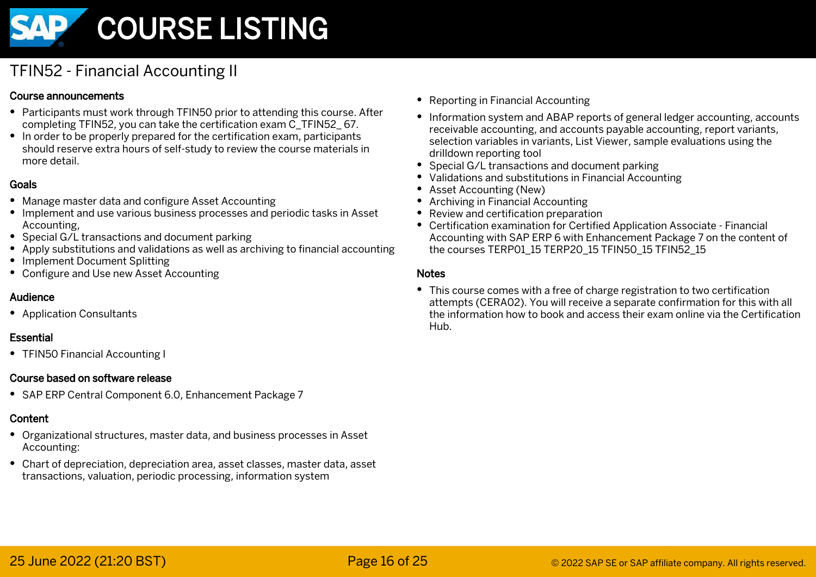

# TFIN52 - Financial Accounting II

#### Course announcements

- Participants must work through TFIN50 prior to attending this course. After completing TFIN52, you can take the certification exam C\_TFIN52\_ 67.
- In order to be properly prepared for the certification exam, participants should reserve extra hours of self-study to review the course materials in more detail.

#### Goals

- Manage master data and configure Asset Accounting
- Implement and use various business processes and periodic tasks in Asset Accounting,
- Special G/L transactions and document parking
- $\bullet$  Apply substitutions and validations as well as archiving to financial accounting
- Implement Document Splitting
- Configure and Use new Asset Accounting

#### Audience

Application Consultants

#### Essential

• TFIN50 Financial Accounting I

#### Course based on software release

• SAP ERP Central Component 6.0, Enhancement Package 7

#### Content

- Organizational structures, master data, and business processes in Asset Accounting:
- Chart of depreciation, depreciation area, asset classes, master data, asset transactions, valuation, periodic processing, information system
- Reporting in Financial Accounting
- Information system and ABAP reports of general ledger accounting, accounts receivable accounting, and accounts payable accounting, report variants, selection variables in variants, List Viewer, sample evaluations using the drilldown reporting tool
- Special G/L transactions and document parking
- Validations and substitutions in Financial Accounting
- Asset Accounting (New)
- Archiving in Financial Accounting
- Review and certification preparation
- Certification examination for Certified Application Associate Financial Accounting with SAP ERP 6 with Enhancement Package 7 on the content of the courses TERP01\_15 TERP20\_15 TFIN50\_15 TFIN52\_15

#### Notes

This course comes with a free of charge registration to two certification attempts (CERA02). You will receive a separate confirmation for this with all the information how to book and access their exam online via the Certification Hub.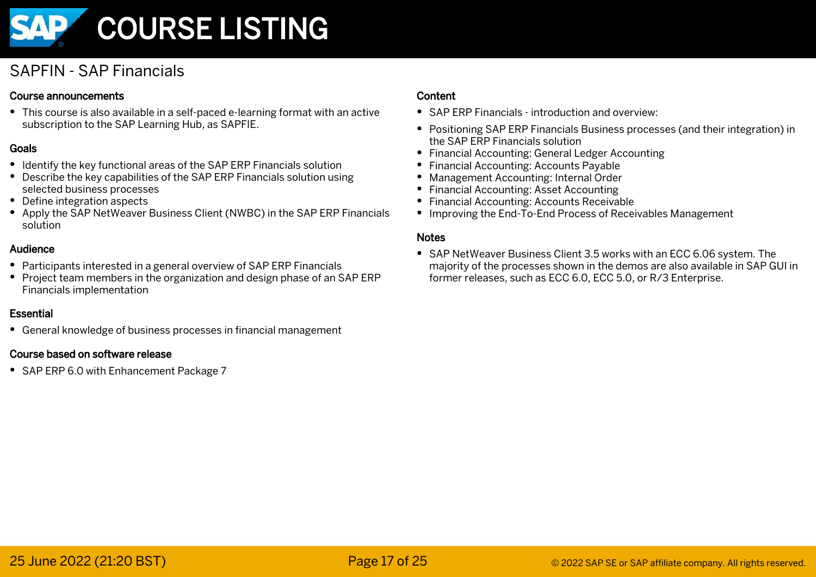

# SAPFIN - SAP Financials

#### Course announcements

This course is also available in a self-paced e-learning format with an active subscription to the SAP Learning Hub, as SAPFIE.

#### Goals

- Identify the key functional areas of the SAP ERP Financials solution
- Describe the key capabilities of the SAP ERP Financials solution using selected business processes
- Define integration aspects
- Apply the SAP NetWeaver Business Client (NWBC) in the SAP ERP Financials solution

#### Audience

- Participants interested in a general overview of SAP ERP Financials
- Project team members in the organization and design phase of an SAP ERP Financials implementation

#### Essential

General knowledge of business processes in financial management

#### Course based on software release

• SAP ERP 6.0 with Enhancement Package 7

#### Content

- SAP ERP Financials introduction and overview:
- Positioning SAP ERP Financials Business processes (and their integration) in the SAP ERP Financials solution
- Financial Accounting: General Ledger Accounting
- Financial Accounting: Accounts Payable
- Management Accounting: Internal Order
- Financial Accounting: Asset Accounting
- Financial Accounting: Accounts Receivable
- Improving the End-To-End Process of Receivables Management

#### **Notes**

SAP NetWeaver Business Client 3.5 works with an ECC 6.06 system. The majority of the processes shown in the demos are also available in SAP GUI in former releases, such as ECC 6.0, ECC 5.0, or R/3 Enterprise.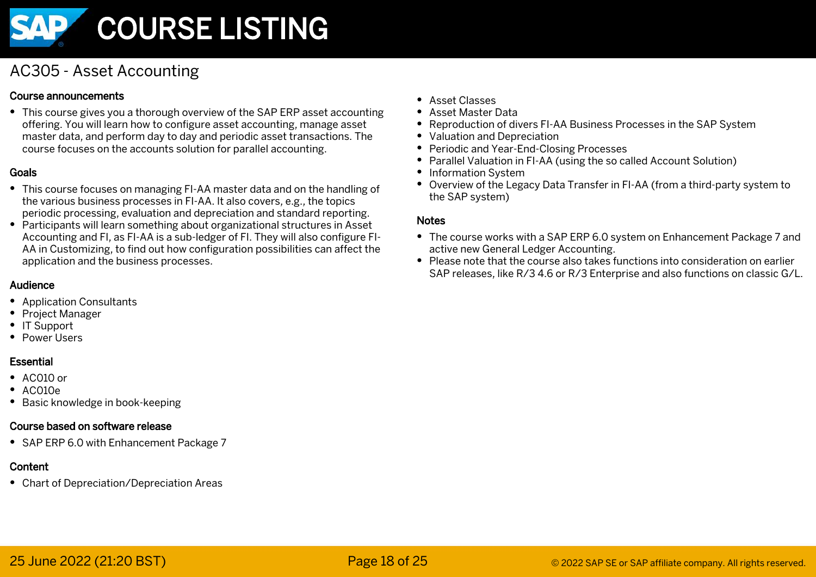

# AC305 - Asset Accounting

#### Course announcements

This course gives you a thorough overview of the SAP ERP asset accounting offering. You will learn how to configure asset accounting, manage asset master data, and perform day to day and periodic asset transactions. The course focuses on the accounts solution for parallel accounting.

#### Goals

- This course focuses on managing FI-AA master data and on the handling of the various business processes in FI-AA. It also covers, e.g., the topics periodic processing, evaluation and depreciation and standard reporting.
- Participants will learn something about organizational structures in Asset Accounting and FI, as FI-AA is a sub-ledger of FI. They will also configure FI-AA in Customizing, to find out how configuration possibilities can affect the application and the business processes.

#### Audience

- Application Consultants
- Project Manager
- IT Support
- Power Users

#### Essential

- $\bullet$  AC010 or
- $\bullet$  AC010e
- Basic knowledge in book-keeping

#### Course based on software release

• SAP ERP 6.0 with Enhancement Package 7

#### Content

Chart of Depreciation/Depreciation Areas

- Asset Classes
- Asset Master Data
- Reproduction of divers FI-AA Business Processes in the SAP System
- Valuation and Depreciation
- Periodic and Year-End-Closing Processes
- Parallel Valuation in FI-AA (using the so called Account Solution)
- Information System
- Overview of the Legacy Data Transfer in FI-AA (from a third-party system to the SAP system)

- The course works with a SAP ERP 6.0 system on Enhancement Package 7 and active new General Ledger Accounting.
- Please note that the course also takes functions into consideration on earlier SAP releases, like R/3 4.6 or R/3 Enterprise and also functions on classic G/L.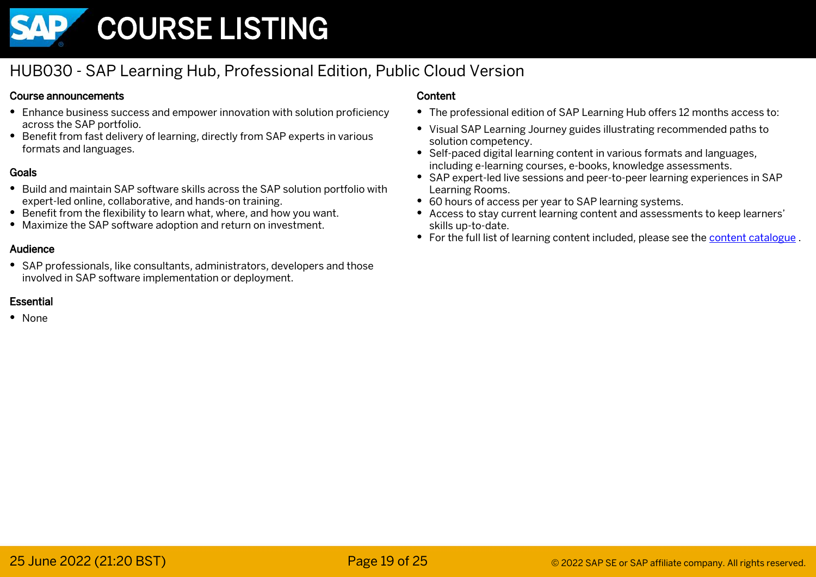

# HUB030 - SAP Learning Hub, Professional Edition, Public Cloud Version

#### Course announcements

- Enhance business success and empower innovation with solution proficiency across the SAP portfolio.
- Benefit from fast delivery of learning, directly from SAP experts in various formats and languages.

#### Goals

- Build and maintain SAP software skills across the SAP solution portfolio with expert-led online, collaborative, and hands-on training.
- Benefit from the flexibility to learn what, where, and how you want.
- Maximize the SAP software adoption and return on investment.

#### Audience

SAP professionals, like consultants, administrators, developers and those involved in SAP software implementation or deployment.

#### Essential

None

- The professional edition of SAP Learning Hub offers 12 months access to:
- Visual SAP Learning Journey guides illustrating recommended paths to solution competency.
- Self-paced digital learning content in various formats and languages, including e-learning courses, e-books, knowledge assessments.
- SAP expert-led live sessions and peer-to-peer learning experiences in SAP Learning Rooms.
- 60 hours of access per year to SAP learning systems.
- Access to stay current learning content and assessments to keep learners' skills up-to-date.
- For the full list of learning content included, please see the [content catalogue](https://url.sap/p8vl2j).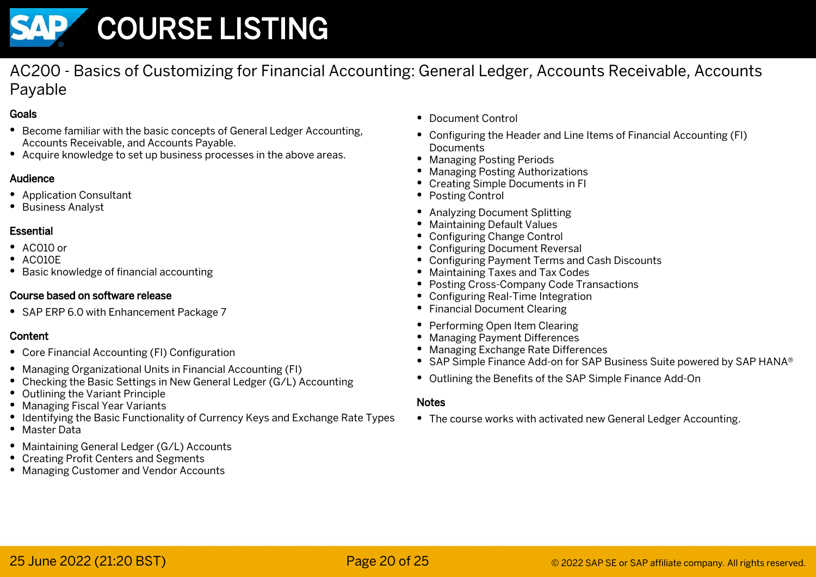

AC200 - Basics of Customizing for Financial Accounting: General Ledger, Accounts Receivable, Accounts Payable

#### Goals

- Become familiar with the basic concepts of General Ledger Accounting, Accounts Receivable, and Accounts Payable.
- Acquire knowledge to set up business processes in the above areas.

#### Audience

- Application Consultant
- Business Analyst

#### Essential

- $\bullet$  AC010 or
- AC010E
- Basic knowledge of financial accounting

#### Course based on software release

• SAP ERP 6.0 with Enhancement Package 7

### Content

- Core Financial Accounting (FI) Configuration
- Managing Organizational Units in Financial Accounting (FI)
- Checking the Basic Settings in New General Ledger (G/L) Accounting
- Outlining the Variant Principle
- Managing Fiscal Year Variants
- Identifying the Basic Functionality of Currency Keys and Exchange Rate Types
- Master Data
- Maintaining General Ledger (G/L) Accounts
- Creating Profit Centers and Segments
- Managing Customer and Vendor Accounts
- Document Control
- Configuring the Header and Line Items of Financial Accounting (FI) **Documents**
- Managing Posting Periods
- Managing Posting Authorizations
- Creating Simple Documents in FI
- Posting Control
- Analyzing Document Splitting
- Maintaining Default Values
- Configuring Change Control
- Configuring Document Reversal
- Configuring Payment Terms and Cash Discounts
- Maintaining Taxes and Tax Codes
- Posting Cross-Company Code Transactions
- Configuring Real-Time Integration
- Financial Document Clearing
- Performing Open Item Clearing
- Managing Payment Differences
- Managing Exchange Rate Differences
- SAP Simple Finance Add-on for SAP Business Suite powered by SAP HANA®
- Outlining the Benefits of the SAP Simple Finance Add-On

#### **Notes**

The course works with activated new General Ledger Accounting.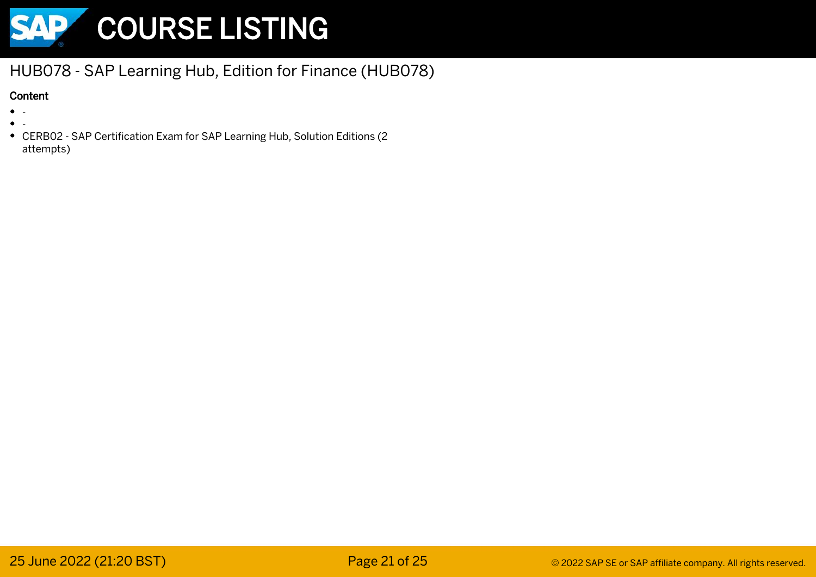

# HUB078 - SAP Learning Hub, Edition for Finance (HUB078)

- $\bullet$
- 
- CERB02 - SAP Certification Exam for SAP Learning Hub, Solution Editions (2 attempts)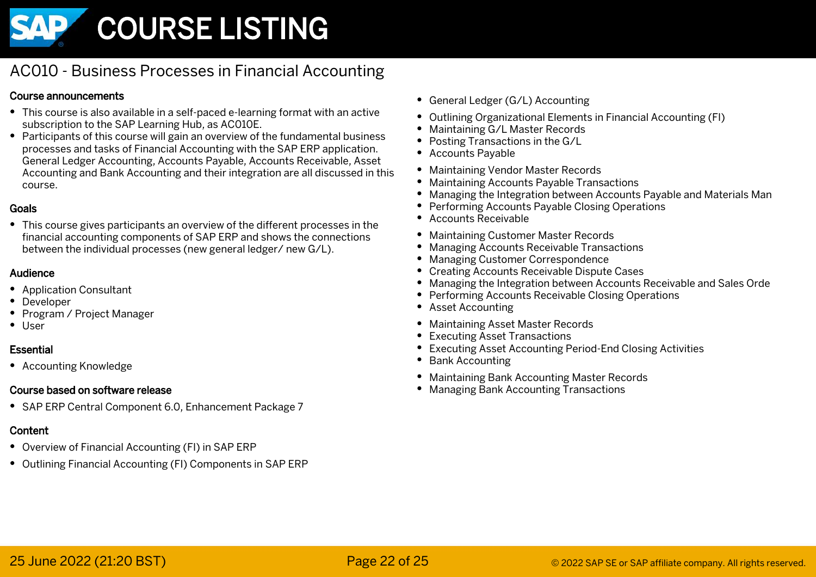

# AC010 - Business Processes in Financial Accounting

#### Course announcements

- This course is also available in a self-paced e-learning format with an active subscription to the SAP Learning Hub, as AC010E.
- Participants of this course will gain an overview of the fundamental business processes and tasks of Financial Accounting with the SAP ERP application. General Ledger Accounting, Accounts Payable, Accounts Receivable, Asset Accounting and Bank Accounting and their integration are all discussed in this course.

#### Goals

This course gives participants an overview of the different processes in the financial accounting components of SAP ERP and shows the connections between the individual processes (new general ledger/ new G/L).

#### Audience

- Application Consultant
- Developer
- Program / Project Manager
- User

#### Essential

Accounting Knowledge

#### Course based on software release

SAP ERP Central Component 6.0, Enhancement Package 7

- Overview of Financial Accounting (FI) in SAP ERP
- Outlining Financial Accounting (FI) Components in SAP ERP
- General Ledger (G/L) Accounting
- Outlining Organizational Elements in Financial Accounting (FI)
- Maintaining G/L Master Records  $\bullet$
- Posting Transactions in the G/L
- Accounts Payable
- Maintaining Vendor Master Records
- Maintaining Accounts Payable Transactions
- Managing the Integration between Accounts Payable and Materials Man
- Performing Accounts Payable Closing Operations
- Accounts Receivable
- Maintaining Customer Master Records
- Managing Accounts Receivable Transactions
- Managing Customer Correspondence
- Creating Accounts Receivable Dispute Cases
- Managing the Integration between Accounts Receivable and Sales Orde
- Performing Accounts Receivable Closing Operations
- Asset Accounting
- Maintaining Asset Master Records
- Executing Asset Transactions ٠
- Executing Asset Accounting Period-End Closing Activities
- Bank Accounting
- Maintaining Bank Accounting Master Records
- Managing Bank Accounting Transactions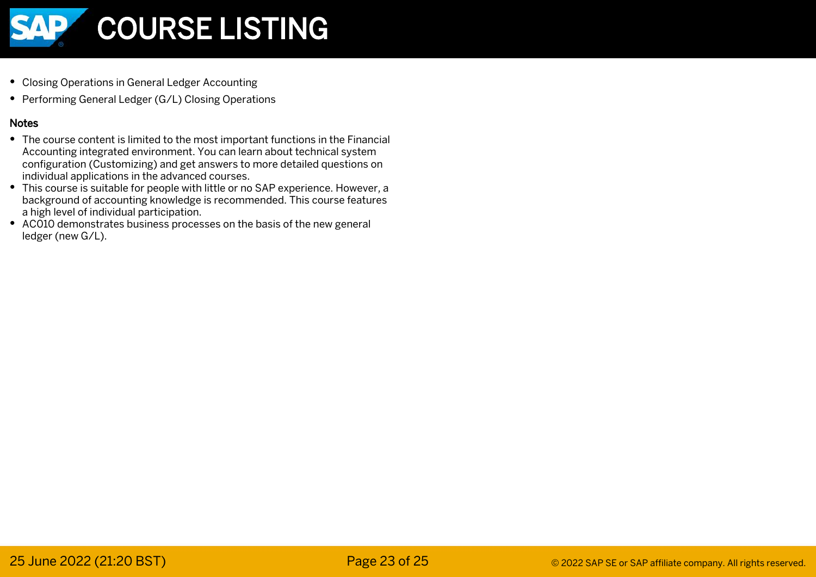

- Closing Operations in General Ledger Accounting
- Performing General Ledger (G/L) Closing Operations

- The course content is limited to the most important functions in the Financial Accounting integrated environment. You can learn about technical system configuration (Customizing) and get answers to more detailed questions on individual applications in the advanced courses.
- This course is suitable for people with little or no SAP experience. However, a background of accounting knowledge is recommended. This course features a high level of individual participation.
- AC010 demonstrates business processes on the basis of the new general ledger (new G/L).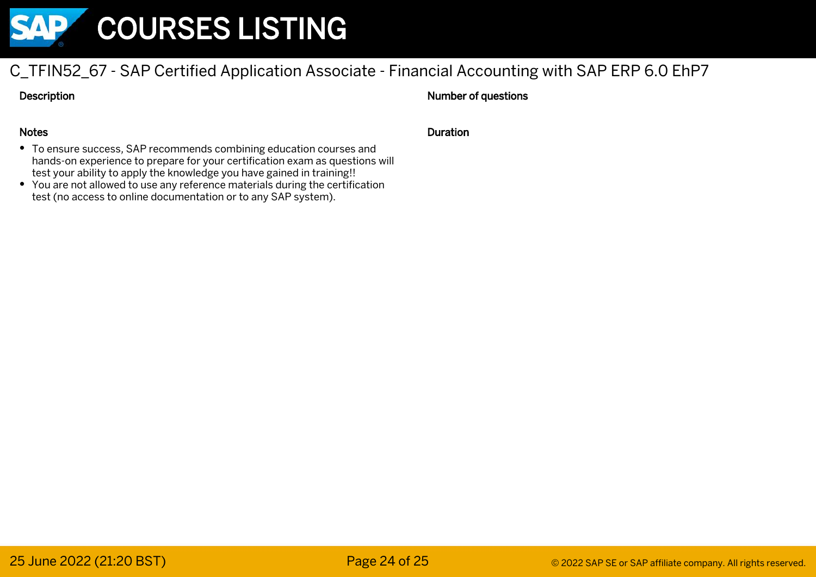

# C\_TFIN52\_67 - SAP Certified Application Associate - Financial Accounting with SAP ERP 6.0 EhP7

Description

#### Number of questions

#### Notes

- To ensure success, SAP recommends combining education courses and hands-on experience to prepare for your certification exam as questions will test your ability to apply the knowledge you have gained in training!!
- You are not allowed to use any reference materials during the certification test (no access to online documentation or to any SAP system).

#### Duration